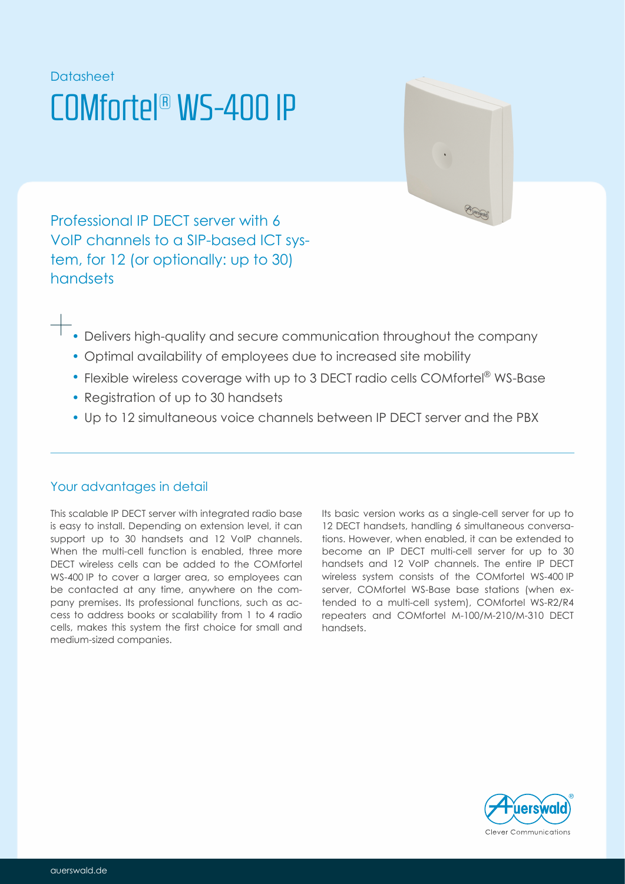# **Datasheet** COMfortel® WS-400 IP



Professional IP DECT server with 6 VoIP channels to a SIP-based ICT system, for 12 (or optionally: up to 30) handsets

- Delivers high-quality and secure communication throughout the company
- Optimal availability of employees due to increased site mobility
- Flexible wireless coverage with up to 3 DECT radio cells COMfortel® WS-Base
- Registration of up to 30 handsets
- Up to 12 simultaneous voice channels between IP DECT server and the PBX

## Your advantages in detail

This scalable IP DECT server with integrated radio base is easy to install. Depending on extension level, it can support up to 30 handsets and 12 VoIP channels. When the multi-cell function is enabled, three more DECT wireless cells can be added to the COMfortel WS-400 IP to cover a larger area, so employees can be contacted at any time, anywhere on the company premises. Its professional functions, such as access to address books or scalability from 1 to 4 radio cells, makes this system the first choice for small and medium-sized companies.

Its basic version works as a single-cell server for up to 12 DECT handsets, handling 6 simultaneous conversations. However, when enabled, it can be extended to become an IP DECT multi-cell server for up to 30 handsets and 12 VoIP channels. The entire IP DECT wireless system consists of the COMfortel WS-400 IP server, COMfortel WS-Base base stations (when extended to a multi-cell system), COMfortel WS-R2/R4 repeaters and COMfortel M-100/M-210/M-310 DECT handsets.